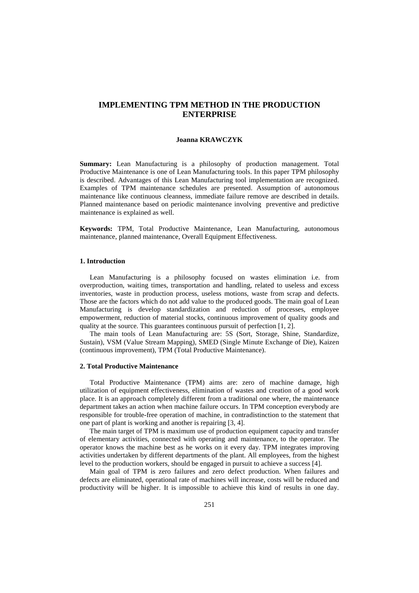# **IMPLEMENTING TPM METHOD IN THE PRODUCTION ENTERPRISE**

#### **Joanna KRAWCZYK**

**Summary:** Lean Manufacturing is a philosophy of production management. Total Productive Maintenance is one of Lean Manufacturing tools. In this paper TPM philosophy is described. Advantages of this Lean Manufacturing tool implementation are recognized. Examples of TPM maintenance schedules are presented. Assumption of autonomous maintenance like continuous cleanness, immediate failure remove are described in details. Planned maintenance based on periodic maintenance involving preventive and predictive maintenance is explained as well.

**Keywords:** TPM, Total Productive Maintenance, Lean Manufacturing, autonomous maintenance, planned maintenance, Overall Equipment Effectiveness.

### **1. Introduction**

Lean Manufacturing is a philosophy focused on wastes elimination i.e. from overproduction, waiting times, transportation and handling, related to useless and excess inventories, waste in production process, useless motions, waste from scrap and defects. Those are the factors which do not add value to the produced goods. The main goal of Lean Manufacturing is develop standardization and reduction of processes, employee empowerment, reduction of material stocks, continuous improvement of quality goods and quality at the source. This guarantees continuous pursuit of perfection [1, 2].

The main tools of Lean Manufacturing are: 5S (Sort, Storage, Shine, Standardize, Sustain), VSM (Value Stream Mapping), SMED (Single Minute Exchange of Die), Kaizen (continuous improvement), TPM (Total Productive Maintenance).

### **2. Total Productive Maintenance**

Total Productive Maintenance (TPM) aims are: zero of machine damage, high utilization of equipment effectiveness, elimination of wastes and creation of a good work place. It is an approach completely different from a traditional one where, the maintenance department takes an action when machine failure occurs. In TPM conception everybody are responsible for trouble-free operation of machine, in contradistinction to the statement that one part of plant is working and another is repairing [3, 4].

The main target of TPM is maximum use of production equipment capacity and transfer of elementary activities, connected with operating and maintenance, to the operator. The operator knows the machine best as he works on it every day. TPM integrates improving activities undertaken by different departments of the plant. All employees, from the highest level to the production workers, should be engaged in pursuit to achieve a success [4].

Main goal of TPM is zero failures and zero defect production. When failures and defects are eliminated, operational rate of machines will increase, costs will be reduced and productivity will be higher. It is impossible to achieve this kind of results in one day.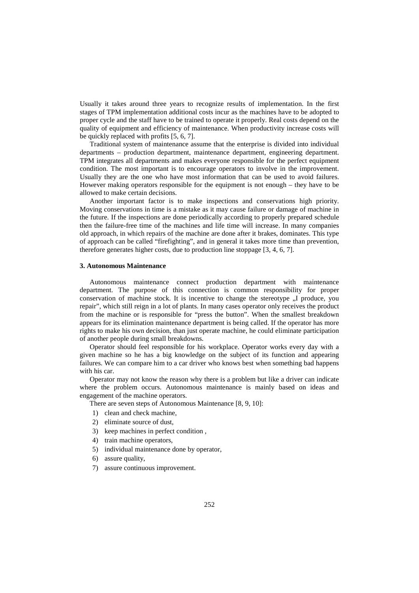Usually it takes around three years to recognize results of implementation. In the first stages of TPM implementation additional costs incur as the machines have to be adopted to proper cycle and the staff have to be trained to operate it properly. Real costs depend on the quality of equipment and efficiency of maintenance. When productivity increase costs will be quickly replaced with profits [5, 6, 7].

Traditional system of maintenance assume that the enterprise is divided into individual departments – production department, maintenance department, engineering department. TPM integrates all departments and makes everyone responsible for the perfect equipment condition. The most important is to encourage operators to involve in the improvement. Usually they are the one who have most information that can be used to avoid failures. However making operators responsible for the equipment is not enough – they have to be allowed to make certain decisions.

Another important factor is to make inspections and conservations high priority. Moving conservations in time is a mistake as it may cause failure or damage of machine in the future. If the inspections are done periodically according to properly prepared schedule then the failure-free time of the machines and life time will increase. In many companies old approach, in which repairs of the machine are done after it brakes, dominates. This type of approach can be called "firefighting", and in general it takes more time than prevention, therefore generates higher costs, due to production line stoppage [3, 4, 6, 7].

### **3. Autonomous Maintenance**

Autonomous maintenance connect production department with maintenance department. The purpose of this connection is common responsibility for proper conservation of machine stock. It is incentive to change the stereotype  $\overline{N}$  produce, you repair", which still reign in a lot of plants. In many cases operator only receives the product from the machine or is responsible for "press the button". When the smallest breakdown appears for its elimination maintenance department is being called. If the operator has more rights to make his own decision, than just operate machine, he could eliminate participation of another people during small breakdowns.

Operator should feel responsible for his workplace. Operator works every day with a given machine so he has a big knowledge on the subject of its function and appearing failures. We can compare him to a car driver who knows best when something bad happens with his car.

Operator may not know the reason why there is a problem but like a driver can indicate where the problem occurs. Autonomous maintenance is mainly based on ideas and engagement of the machine operators.

There are seven steps of Autonomous Maintenance [8, 9, 10]:

- 1) clean and check machine,
- 2) eliminate source of dust,
- 3) keep machines in perfect condition ,
- 4) train machine operators,
- 5) individual maintenance done by operator,
- 6) assure quality,
- 7) assure continuous improvement.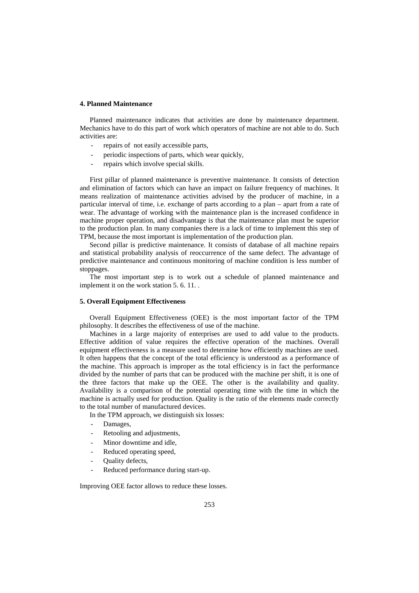### **4. Planned Maintenance**

Planned maintenance indicates that activities are done by maintenance department. Mechanics have to do this part of work which operators of machine are not able to do. Such activities are:

- repairs of not easily accessible parts,
- periodic inspections of parts, which wear quickly,
- repairs which involve special skills.

First pillar of planned maintenance is preventive maintenance. It consists of detection and elimination of factors which can have an impact on failure frequency of machines. It means realization of maintenance activities advised by the producer of machine, in a particular interval of time, i.e. exchange of parts according to a plan – apart from a rate of wear. The advantage of working with the maintenance plan is the increased confidence in machine proper operation, and disadvantage is that the maintenance plan must be superior to the production plan. In many companies there is a lack of time to implement this step of TPM, because the most important is implementation of the production plan.

Second pillar is predictive maintenance. It consists of database of all machine repairs and statistical probability analysis of reoccurrence of the same defect. The advantage of predictive maintenance and continuous monitoring of machine condition is less number of stoppages.

The most important step is to work out a schedule of planned maintenance and implement it on the work station [5. 6.](#page-7-0) [11. .](#page-8-0)

#### **5. Overall Equipment Effectiveness**

Overall Equipment Effectiveness (OEE) is the most important factor of the TPM philosophy. It describes the effectiveness of use of the machine.

Machines in a large majority of enterprises are used to add value to the products. Effective addition of value requires the effective operation of the machines. Overall equipment effectiveness is a measure used to determine how efficiently machines are used. It often happens that the concept of the total efficiency is understood as a performance of the machine. This approach is improper as the total efficiency is in fact the performance divided by the number of parts that can be produced with the machine per shift, it is one of the three factors that make up the OEE. The other is the availability and quality. Availability is a comparison of the potential operating time with the time in which the machine is actually used for production. Quality is the ratio of the elements made correctly to the total number of manufactured devices.

In the TPM approach, we distinguish six losses:

- Damages,
- Retooling and adjustments,
- Minor downtime and idle.
- Reduced operating speed,
- Ouality defects,
- Reduced performance during start-up.

Improving OEE factor allows to reduce these losses.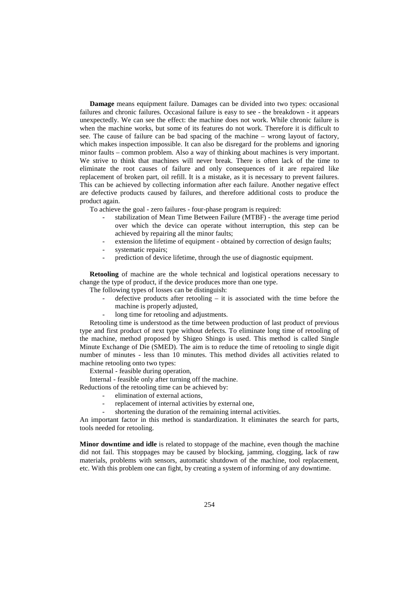**Damage** means equipment failure. Damages can be divided into two types: occasional failures and chronic failures. Occasional failure is easy to see - the breakdown - it appears unexpectedly. We can see the effect: the machine does not work. While chronic failure is when the machine works, but some of its features do not work. Therefore it is difficult to see. The cause of failure can be bad spacing of the machine – wrong layout of factory, which makes inspection impossible. It can also be disregard for the problems and ignoring minor faults – common problem. Also a way of thinking about machines is very important. We strive to think that machines will never break. There is often lack of the time to eliminate the root causes of failure and only consequences of it are repaired like replacement of broken part, oil refill. It is a mistake, as it is necessary to prevent failures. This can be achieved by collecting information after each failure. Another negative effect are defective products caused by failures, and therefore additional costs to produce the product again.

To achieve the goal - zero failures - four-phase program is required:

- stabilization of Mean Time Between Failure (MTBF) the average time period over which the device can operate without interruption, this step can be achieved by repairing all the minor faults;
- extension the lifetime of equipment obtained by correction of design faults;
- systematic repairs;
- prediction of device lifetime, through the use of diagnostic equipment.

**Retooling** of machine are the whole technical and logistical operations necessary to change the type of product, if the device produces more than one type.

The following types of losses can be distinguish:

- defective products after retooling  $-$  it is associated with the time before the machine is properly adjusted,
- long time for retooling and adjustments.

Retooling time is understood as the time between production of last product of previous type and first product of next type without defects. To eliminate long time of retooling of the machine, method proposed by Shigeo Shingo is used. This method is called Single Minute Exchange of Die (SMED). The aim is to reduce the time of retooling to single digit number of minutes - less than 10 minutes. This method divides all activities related to machine retooling onto two types:

External - feasible during operation,

Internal - feasible only after turning off the machine.

Reductions of the retooling time can be achieved by:

- elimination of external actions.
- replacement of internal activities by external one,
- shortening the duration of the remaining internal activities.

An important factor in this method is standardization. It eliminates the search for parts, tools needed for retooling.

**Minor downtime and idle** is related to stoppage of the machine, even though the machine did not fail. This stoppages may be caused by blocking, jamming, clogging, lack of raw materials, problems with sensors, automatic shutdown of the machine, tool replacement, etc. With this problem one can fight, by creating a system of informing of any downtime.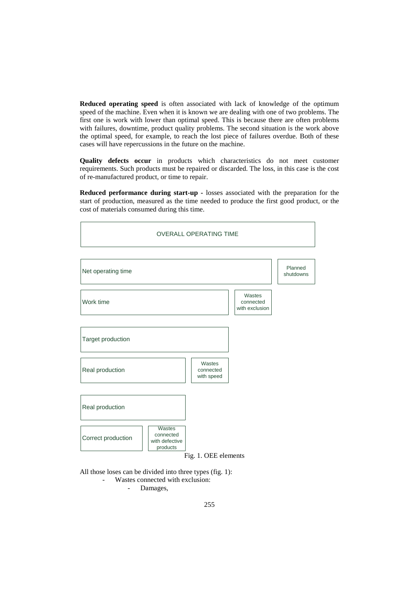**Reduced operating speed** is often associated with lack of knowledge of the optimum speed of the machine. Even when it is known we are dealing with one of two problems. The first one is work with lower than optimal speed. This is because there are often problems with failures, downtime, product quality problems. The second situation is the work above the optimal speed, for example, to reach the lost piece of failures overdue. Both of these cases will have repercussions in the future on the machine.

**Quality defects occur** in products which characteristics do not meet customer requirements. Such products must be repaired or discarded. The loss, in this case is the cost of re-manufactured product, or time to repair.

**Reduced performance during start-up -** losses associated with the preparation for the start of production, measured as the time needed to produce the first good product, or the cost of materials consumed during this time.

| <b>OVERALL OPERATING TIME</b>                                           |                                   |                                       |                      |  |
|-------------------------------------------------------------------------|-----------------------------------|---------------------------------------|----------------------|--|
| Net operating time                                                      |                                   |                                       | Planned<br>shutdowns |  |
| Work time                                                               |                                   | Wastes<br>connected<br>with exclusion |                      |  |
| Target production                                                       |                                   |                                       |                      |  |
| Real production                                                         | Wastes<br>connected<br>with speed |                                       |                      |  |
| Real production                                                         |                                   |                                       |                      |  |
| Wastes<br>connected<br>Correct production<br>with defective<br>products | Fig. 1. OEE elements              |                                       |                      |  |

All those loses can be divided into three types (fig. 1): - Wastes connected with exclusion: - Damages,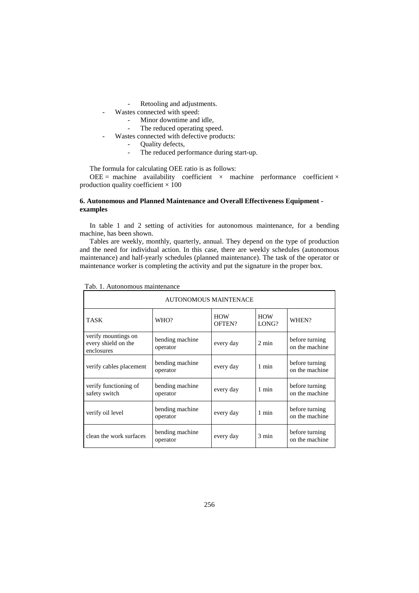- Retooling and adjustments.
- Wastes connected with speed:
	- Minor downtime and idle,
	- The reduced operating speed.
	- Wastes connected with defective products:
		- Quality defects,
		- The reduced performance during start-up.

The formula for calculating OEE ratio is as follows:

OEE = machine availability coefficient  $\times$  machine performance coefficient  $\times$ production quality coefficient  $\times$  100

## **6. Autonomous and Planned Maintenance and Overall Effectiveness Equipment examples**

In table 1 and 2 setting of activities for autonomous maintenance, for a bending machine, has been shown.

Tables are weekly, monthly, quarterly, annual. They depend on the type of production and the need for individual action. In this case, there are weekly schedules (autonomous maintenance) and half-yearly schedules (planned maintenance). The task of the operator or maintenance worker is completing the activity and put the signature in the proper box.

| <b>AUTONOMOUS MAINTENACE</b>                             |                             |                      |                     |                                  |  |
|----------------------------------------------------------|-----------------------------|----------------------|---------------------|----------------------------------|--|
| <b>TASK</b>                                              | WHO?                        | <b>HOW</b><br>OFTEN? | <b>HOW</b><br>LONG? | WHEN?                            |  |
| verify mountings on<br>every shield on the<br>enclosures | bending machine<br>operator | every day            | $2 \text{ min}$     | before turning<br>on the machine |  |
| verify cables placement                                  | bending machine<br>operator | every day            | 1 min               | before turning<br>on the machine |  |
| verify functioning of<br>safety switch                   | bending machine<br>operator | every day            | 1 min               | before turning<br>on the machine |  |
| verify oil level                                         | bending machine<br>operator | every day            | 1 min               | before turning<br>on the machine |  |
| clean the work surfaces                                  | bending machine<br>operator | every day            | $3 \text{ min}$     | before turning<br>on the machine |  |

|  |  | Tab. 1. Autonomous maintenance |  |
|--|--|--------------------------------|--|
|--|--|--------------------------------|--|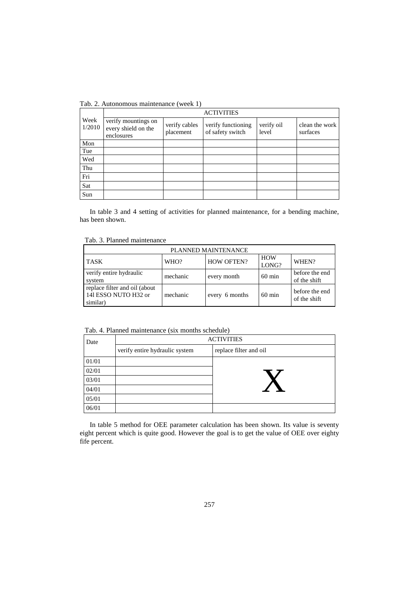Tab. 2. Autonomous maintenance (week 1)

|                | <b>ACTIVITIES</b>                                        |                            |                                        |                     |                            |
|----------------|----------------------------------------------------------|----------------------------|----------------------------------------|---------------------|----------------------------|
| Week<br>1/2010 | verify mountings on<br>every shield on the<br>enclosures | verify cables<br>placement | verify functioning<br>of safety switch | verify oil<br>level | clean the work<br>surfaces |
| Mon            |                                                          |                            |                                        |                     |                            |
| Tue            |                                                          |                            |                                        |                     |                            |
| Wed            |                                                          |                            |                                        |                     |                            |
| Thu            |                                                          |                            |                                        |                     |                            |
| Fri            |                                                          |                            |                                        |                     |                            |
| Sat            |                                                          |                            |                                        |                     |                            |
| Sun            |                                                          |                            |                                        |                     |                            |

In table 3 and 4 setting of activities for planned maintenance, for a bending machine, has been shown.

Tab. 3. Planned maintenance

| PLANNED MAINTENANCE                                               |          |                   |                     |                                |  |
|-------------------------------------------------------------------|----------|-------------------|---------------------|--------------------------------|--|
| <b>TASK</b>                                                       | WHO?     | <b>HOW OFTEN?</b> | <b>HOW</b><br>LONG? | WHEN?                          |  |
| verify entire hydraulic<br>system                                 | mechanic | every month       | $60 \text{ min}$    | before the end<br>of the shift |  |
| replace filter and oil (about<br>141 ESSO NUTO H32 or<br>similar) | mechanic | every 6 months    | $60 \text{ min}$    | before the end<br>of the shift |  |

Tab. 4. Planned maintenance (six months schedule)

| Date  | <b>ACTIVITIES</b>              |                        |  |
|-------|--------------------------------|------------------------|--|
|       | verify entire hydraulic system | replace filter and oil |  |
| 01/01 |                                |                        |  |
| 02/01 |                                |                        |  |
| 03/01 |                                |                        |  |
| 04/01 |                                |                        |  |
| 05/01 |                                |                        |  |
| 06/01 |                                |                        |  |

In table 5 method for OEE parameter calculation has been shown. Its value is seventy eight percent which is quite good. However the goal is to get the value of OEE over eighty fife percent.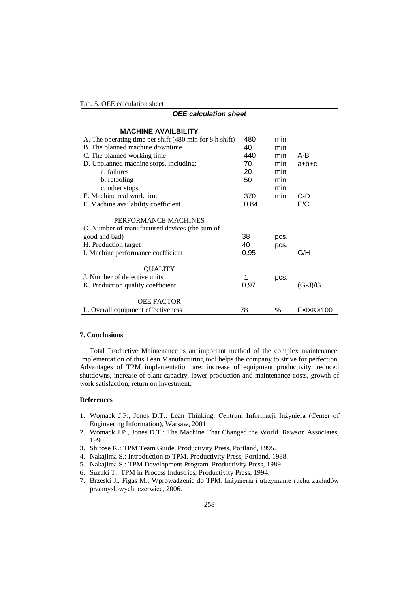| <b>OEE</b> calculation sheet                                          |      |      |           |
|-----------------------------------------------------------------------|------|------|-----------|
| <b>MACHINE AVAILBILITY</b>                                            |      |      |           |
| A. The operating time per shift (480 min for 8 h shift)               | 480  | min  |           |
| B. The planned machine downtime                                       | 40   | min  |           |
| C. The planned working time                                           | 440  | min  | A-B       |
| D. Unplanned machine stops, including:                                | 70   | min  | $a+b+c$   |
| a. failures                                                           | 20   | min  |           |
| b. retooling                                                          | 50   | min  |           |
| c. other stops                                                        |      | min  |           |
| E. Machine real work time                                             | 370  | min  | $C-D$     |
| F. Machine availability coefficient                                   | 0,84 |      | E/C       |
| PERFORMANCE MACHINES<br>G. Number of manufactured devices (the sum of |      |      |           |
| good and bad)                                                         | 38   | pcs. |           |
| H. Production target                                                  |      | pcs. |           |
| I. Machine performance coefficient                                    | 0,95 |      | G/H       |
| <b>OUALITY</b><br>J. Number of defective units                        | 1    |      |           |
|                                                                       |      | pcs. |           |
| K. Production quality coefficient                                     | 0,97 |      | (G-J)/G   |
| <b>OEE FACTOR</b>                                                     |      |      |           |
| L. Overall equipment effectiveness                                    | 78   | %    | FxlxKx100 |

# Tab. 5. OEE calculation sheet

# **7. Conclusions**

Total Productive Maintenance is an important method of the complex maintenance. Implementation of this Lean Manufacturing tool helps the company to strive for perfection. Advantages of TPM implementation are: increase of equipment productivity, reduced shutdowns, increase of plant capacity, lower production and maintenance costs, growth of work satisfaction, return on investment.

### **References**

- 1. Womack J.P., Jones D.T.: Lean Thinking. Centrum Informacji Inżyniera (Center of Engineering Information), Warsaw, 2001.
- 2. Womack J.P., Jones D.T.: The Machine That Changed the World. Rawson Associates, 1990.
- 3. Shirose K.: TPM Team Guide. Productivity Press, Portland, 1995.
- 4. Nakajima S.: Introduction to TPM. Productivity Press, Portland, 1988.
- <span id="page-7-0"></span>5. Nakajima S.: TPM Development Program. Productivity Press, 1989.
- 6. Suzuki T.: TPM in Process Industries. Productivity Press, 1994.
- 7. Brzeski J., Figas M.: Wprowadzenie do TPM. Inżynieria i utrzymanie ruchu zakładów przemysłowych, czerwiec, 2006.